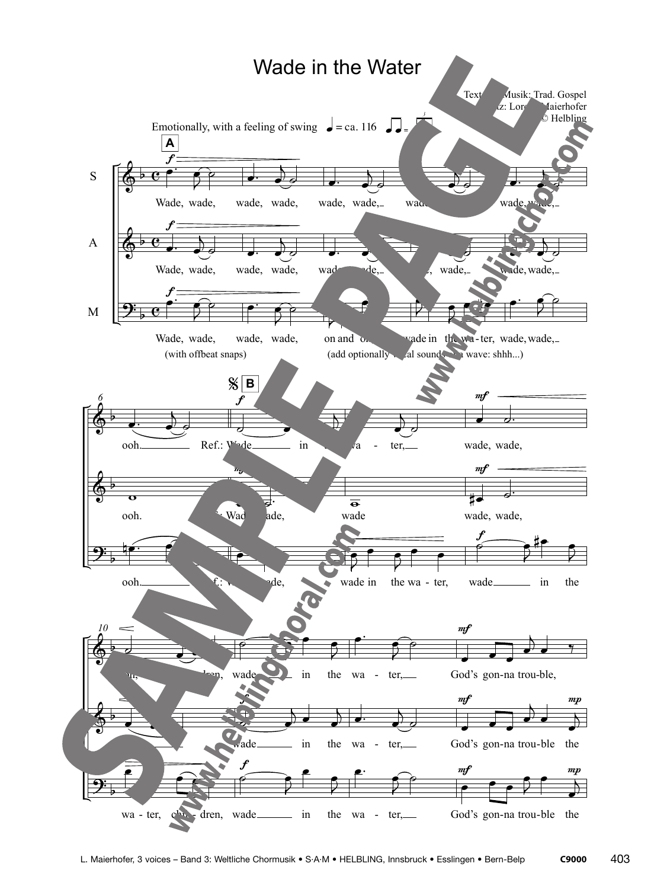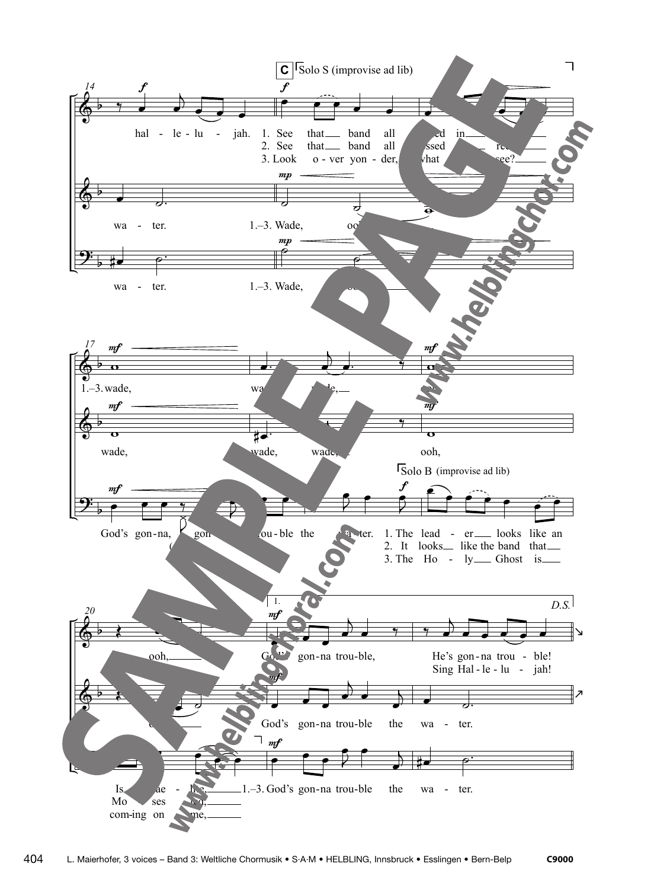